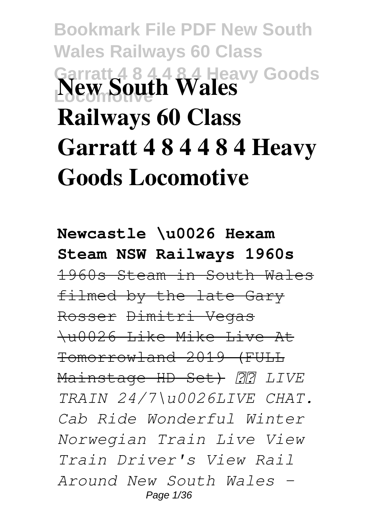# **Bookmark File PDF New South Wales Railways 60 Class Garratt 4 8 4 4 8 4 Heavy Goods New South Wales Railways 60 Class Garratt 4 8 4 4 8 4 Heavy Goods Locomotive**

**Newcastle \u0026 Hexam Steam NSW Railways 1960s** 1960s Steam in South Wales filmed by the late Gary Rosser Dimitri Vegas \u0026 Like Mike Live At Tomorrowland 2019 (FULL Mainstage HD Set)  *LIVE TRAIN 24/7\u0026LIVE CHAT. Cab Ride Wonderful Winter Norwegian Train Live View Train Driver's View Rail Around New South Wales -* Page 1/36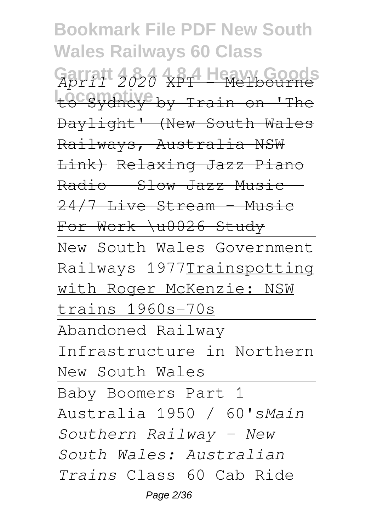**Bookmark File PDF New South Wales Railways 60 Class Garratt 4 8 4 4 8 4 Heavy Goods** *April 2020* XPT - Melbourne Locsydney by Train on 'The Daylight' (New South Wales Railways, Australia NSW Link) Relaxing Jazz Piano  $Radio - Slow Jazz Music$  $24/7$  Live Stream - Music For Work \u0026 Study New South Wales Government Railways 1977Trainspotting with Roger McKenzie: NSW trains 1960s-70s Abandoned Railway Infrastructure in Northern New South Wales Baby Boomers Part 1 Australia 1950 / 60's*Main Southern Railway - New South Wales: Australian Trains* Class 60 Cab Ride Page 2/36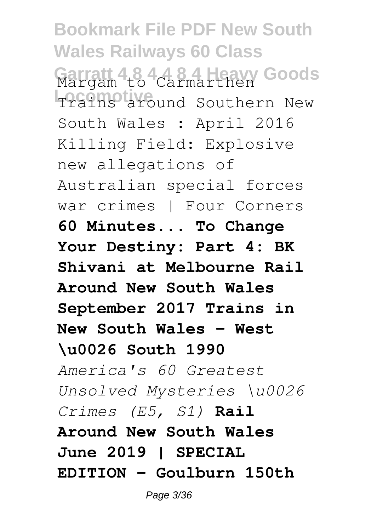**Bookmark File PDF New South Wales Railways 60 Class Garratt 4 8 4 4 8 4 Heavy Goods** Margam to Carmarthen **Trains around Southern New** South Wales : April 2016 Killing Field: Explosive new allegations of Australian special forces war crimes | Four Corners **60 Minutes... To Change Your Destiny: Part 4: BK Shivani at Melbourne Rail Around New South Wales September 2017 Trains in New South Wales - West \u0026 South 1990** *America's 60 Greatest Unsolved Mysteries \u0026 Crimes (E5, S1)* **Rail Around New South Wales June 2019 | SPECIAL EDITION - Goulburn 150th**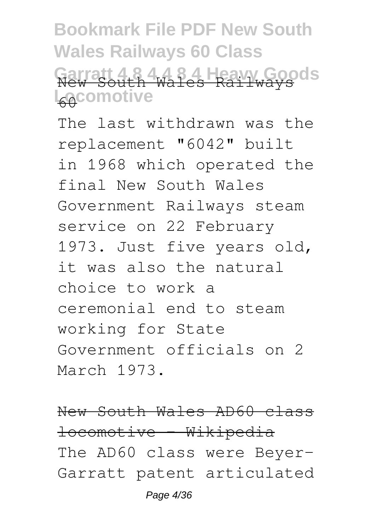**Bookmark File PDF New South Wales Railways 60 Class Garratt 4 8 4 4 8 4 Heavy Goods** New South Wales Railways L<sub>60</sub>comotive

The last withdrawn was the replacement "6042" built in 1968 which operated the final New South Wales Government Railways steam service on 22 February 1973. Just five years old, it was also the natural choice to work a ceremonial end to steam working for State Government officials on 2 March 1973.

New South Wales AD60 class locomotive - Wikipedia The AD60 class were Beyer-Garratt patent articulated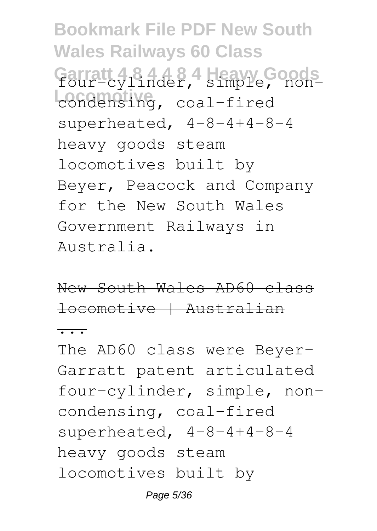**Bookmark File PDF New South Wales Railways 60 Class Garratt 4 8 4 4 8 4 Heavy Goods** four-cylinder, simple, noncondensing, coal-fired superheated, 4-8-4+4-8-4 heavy goods steam locomotives built by Beyer, Peacock and Company for the New South Wales Government Railways in Australia.

New South Wales AD60 class locomotive | Australian

...

The AD60 class were Beyer-Garratt patent articulated four-cylinder, simple, noncondensing, coal-fired superheated, 4-8-4+4-8-4 heavy goods steam locomotives built by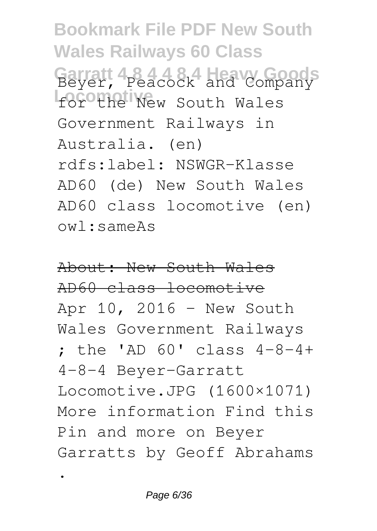**Bookmark File PDF New South Wales Railways 60 Class Garratt 4 8 4 4 8 4 Heavy Goods** Beyer, Peacock and Company **for the New South Wales** Government Railways in Australia. (en) rdfs:label: NSWGR-Klasse AD60 (de) New South Wales AD60 class locomotive (en) owl:sameAs

About: New South Wales AD60 class locomotive Apr 10, 2016 - New South Wales Government Railways ; the 'AD 60' class 4-8-4+ 4-8-4 Beyer-Garratt Locomotive.JPG (1600×1071) More information Find this Pin and more on Beyer Garratts by Geoff Abrahams

.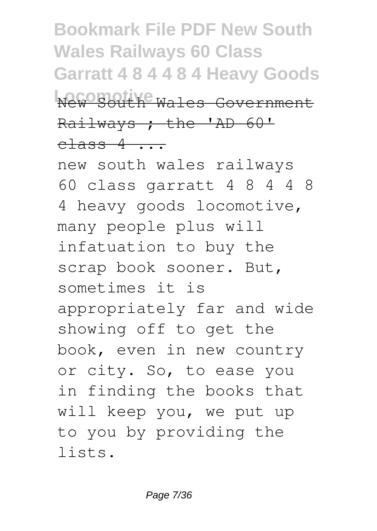**Bookmark File PDF New South Wales Railways 60 Class Garratt 4 8 4 4 8 4 Heavy Goods Locomotive** Wales Government Railways ; the 'AD 60'  $\text{class } 4 \text{ ...}$ 

new south wales railways 60 class garratt 4 8 4 4 8 4 heavy goods locomotive, many people plus will infatuation to buy the scrap book sooner. But, sometimes it is appropriately far and wide showing off to get the book, even in new country or city. So, to ease you in finding the books that will keep you, we put up to you by providing the lists.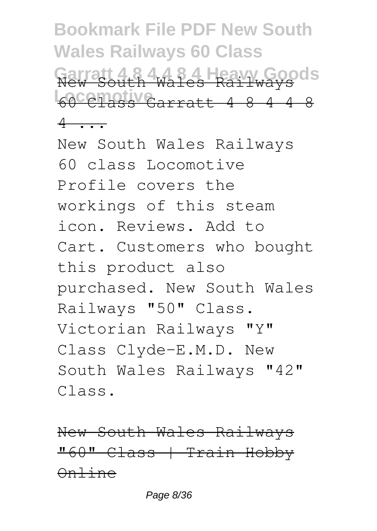**Bookmark File PDF New South Wales Railways 60 Class 4 Heavy Goods Locomotive** 60 Class Garratt 4 8 4 4 8 New South Wales Railways  $4$ 

New South Wales Railways 60 class Locomotive Profile covers the workings of this steam icon. Reviews. Add to Cart. Customers who bought this product also purchased. New South Wales Railways "50" Class. Victorian Railways "Y" Class Clyde-E.M.D. New South Wales Railways "42" Class.

New South Wales Railways "60" Class | Train Hobby Online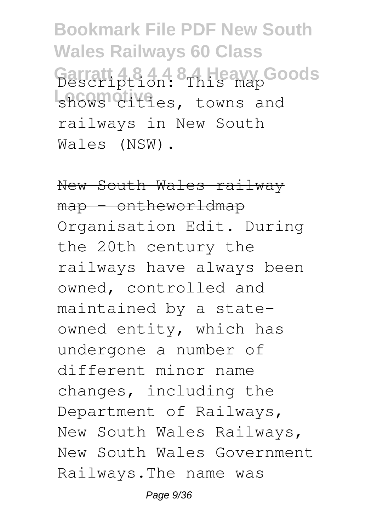**Bookmark File PDF New South Wales Railways 60 Class Garratt 4 8 4 4 8 4 Heavy Goods** Description: This map shows cities, towns and railways in New South Wales (NSW).

New South Wales railway map - ontheworldmap Organisation Edit. During the 20th century the railways have always been owned, controlled and maintained by a stateowned entity, which has undergone a number of different minor name changes, including the Department of Railways, New South Wales Railways, New South Wales Government Railways.The name was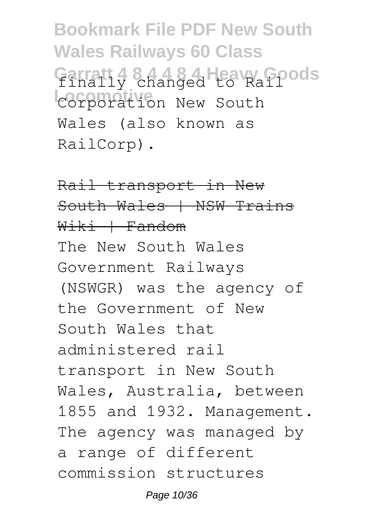**Bookmark File PDF New South Wales Railways 60 Class Garratt 4 8 4 4 8 4 Heavy Goods** finally changed to Rail **Locomotive** Corporation New South Wales (also known as RailCorp).

Rail transport in New South Wales | NSW Trains  $W<sub>i</sub>K<sub>i</sub> + F$ andom The New South Wales Government Railways (NSWGR) was the agency of the Government of New South Wales that administered rail transport in New South Wales, Australia, between 1855 and 1932. Management. The agency was managed by a range of different commission structures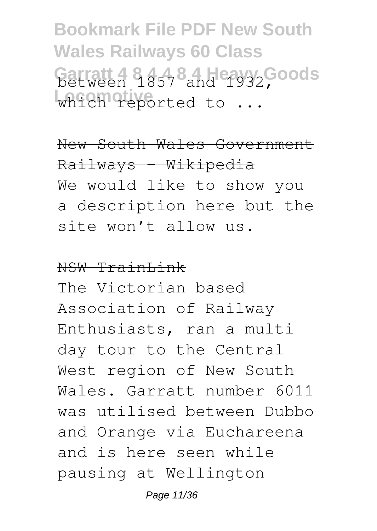**Bookmark File PDF New South Wales Railways 60 Class Garratt 4 8 57 8 and 1932, Goods** which reported to ...

New South Wales Government Railways - Wikipedia We would like to show you a description here but the site won't allow us.

#### NSW TrainLink

The Victorian based Association of Railway Enthusiasts, ran a multi day tour to the Central West region of New South Wales. Garratt number 6011 was utilised between Dubbo and Orange via Euchareena and is here seen while pausing at Wellington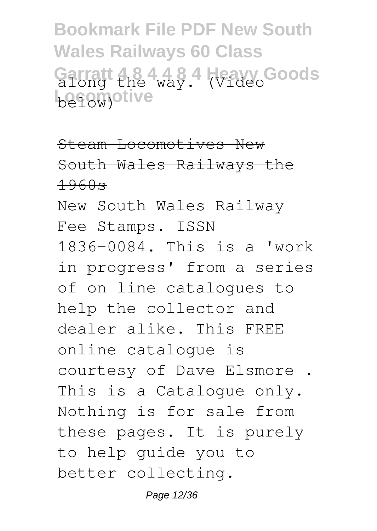**Bookmark File PDF New South Wales Railways 60 Class** Garratt the 4,484 *Wideo*Goods **be18w)**otive

Steam Locomotives New South Wales Railways the 1960s

New South Wales Railway Fee Stamps. ISSN 1836-0084. This is a 'work in progress' from a series of on line catalogues to help the collector and dealer alike. This FREE online catalogue is courtesy of Dave Elsmore . This is a Catalogue only. Nothing is for sale from these pages. It is purely to help guide you to better collecting.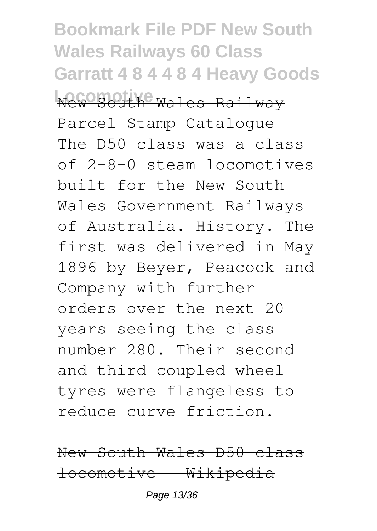**Bookmark File PDF New South Wales Railways 60 Class Garratt 4 8 4 4 8 4 Heavy Goods WAGORATIYE Wales Railway** Parcel Stamp Catalogue The D50 class was a class of 2-8-0 steam locomotives built for the New South Wales Government Railways of Australia. History. The first was delivered in May 1896 by Beyer, Peacock and Company with further orders over the next 20 years seeing the class number 280. Their second and third coupled wheel tyres were flangeless to reduce curve friction.

New South Wales D50 class locomotive - Wikipedia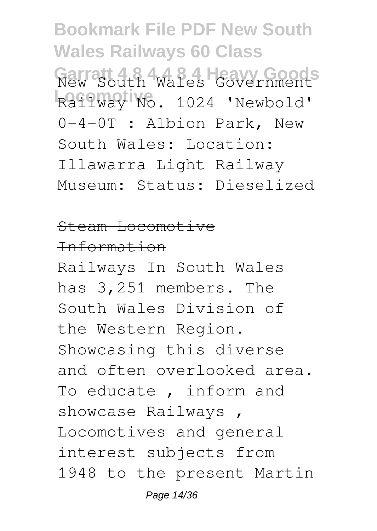**Bookmark File PDF New South Wales Railways 60 Class Garratt 4 8 4 4 8 4 Heavy Goods** New South Wales Government **Locomotive** Railway No. 1024 'Newbold' 0-4-0T : Albion Park, New South Wales: Location: Illawarra Light Railway Museum: Status: Dieselized

#### Steam Locomotive

### Information

Railways In South Wales has 3,251 members. The South Wales Division of the Western Region. Showcasing this diverse and often overlooked area. To educate , inform and showcase Railways , Locomotives and general interest subjects from 1948 to the present Martin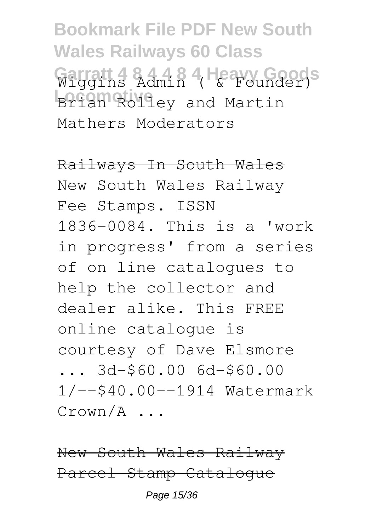**Bookmark File PDF New South Wales Railways 60 Class Garratt 4 8 4 4 8 4 Heavy Goods** Wiggins Admin ( & Founder) **Brian Rolley and Martin** Mathers Moderators

Railways In South Wales New South Wales Railway Fee Stamps. ISSN 1836-0084. This is a 'work in progress' from a series of on line catalogues to help the collector and dealer alike. This FREE online catalogue is courtesy of Dave Elsmore ... 3d-\$60.00 6d-\$60.00 1/--\$40.00--1914 Watermark Crown/A ...

New South Wales Railway Parcel Stamp Catalogue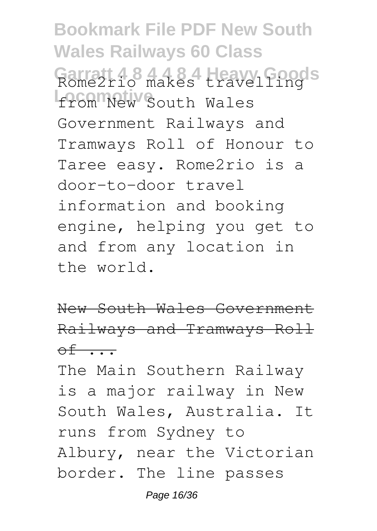**Bookmark File PDF New South Wales Railways 60 Class Garratt 4 8 4 4 8 4 Heavy Goods** Rome2rio makes travelling from New South Wales Government Railways and Tramways Roll of Honour to Taree easy. Rome2rio is a door-to-door travel information and booking engine, helping you get to and from any location in the world.

New South Wales Government Railways and Tramways Roll  $\circ$ f  $\cdots$ 

The Main Southern Railway is a major railway in New South Wales, Australia. It runs from Sydney to Albury, near the Victorian border. The line passes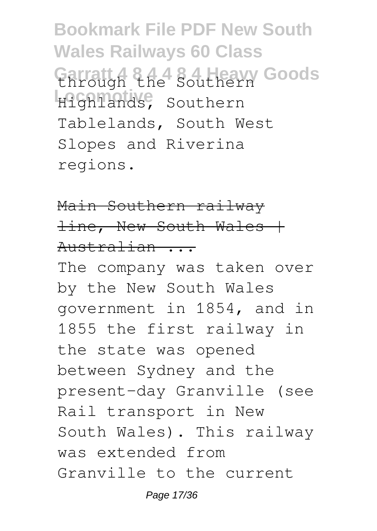**Bookmark File PDF New South Wales Railways 60 Class Garratt 4 8 4 4 8 4 Heavy Goods** through the Southern Highlands, Southern Tablelands, South West Slopes and Riverina regions.

Main Southern railway  $line,$  New South Wales + Australian ...

The company was taken over by the New South Wales government in 1854, and in 1855 the first railway in the state was opened between Sydney and the present-day Granville (see Rail transport in New South Wales). This railway was extended from Granville to the current

Page 17/36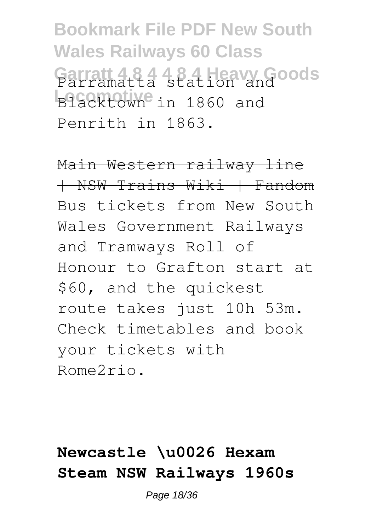**Bookmark File PDF New South Wales Railways 60 Class Garratt 4 8 4 4 8 4 Heavy Goods** Parramatta station and Blacktown<sup>e</sup> in 1860 and Penrith in 1863.

Main Western railway line | NSW Trains Wiki | Fandom Bus tickets from New South Wales Government Railways and Tramways Roll of Honour to Grafton start at \$60, and the quickest route takes just 10h 53m. Check timetables and book your tickets with Rome2rio.

## **Newcastle \u0026 Hexam Steam NSW Railways 1960s**

Page 18/36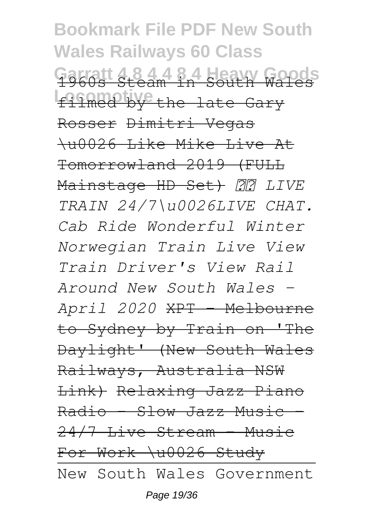**Bookmark File PDF New South Wales Railways 60 Class Garratt 4 8 4 4 8 4 Heavy Goods** 1960s Steam in South Wales filmed by the late Gary Rosser Dimitri Vegas \u0026 Like Mike Live At Tomorrowland 2019 (FULL Mainstage HD Set)  *LIVE TRAIN 24/7\u0026LIVE CHAT. Cab Ride Wonderful Winter Norwegian Train Live View Train Driver's View Rail Around New South Wales - April 2020* XPT - Melbourne to Sydney by Train on 'The Daylight' (New South Wales Railways, Australia NSW Link) Relaxing Jazz Piano  $Radio - Slow-Jazz-Music$ 24/7 Live Stream - Music For Work \u0026 Study New South Wales Government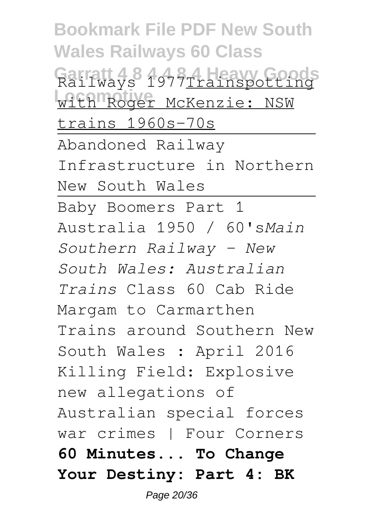**Bookmark File PDF New South Wales Railways 60 Class Garratt 4 8 4 4 8 4 Heavy Goods** Railways 1977Trainspotting with Roger McKenzie: NSW trains 1960s-70s Abandoned Railway Infrastructure in Northern New South Wales Baby Boomers Part 1 Australia 1950 / 60's*Main Southern Railway - New South Wales: Australian Trains* Class 60 Cab Ride Margam to Carmarthen Trains around Southern New South Wales : April 2016 Killing Field: Explosive new allegations of Australian special forces war crimes | Four Corners **60 Minutes... To Change Your Destiny: Part 4: BK**

Page 20/36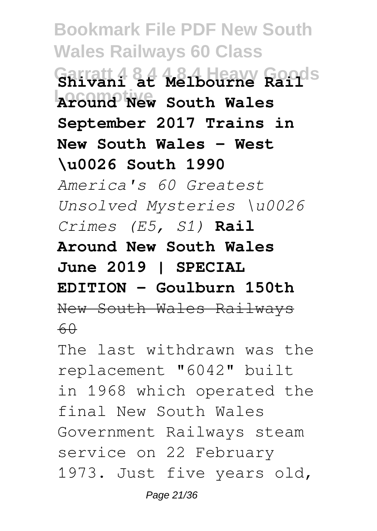**Bookmark File PDF New South Wales Railways 60 Class Garratt 4 8 4 4 8 4 Heavy Goods Shivani at Melbourne Rail Locomotive Around New South Wales September 2017 Trains in New South Wales - West \u0026 South 1990** *America's 60 Greatest Unsolved Mysteries \u0026 Crimes (E5, S1)* **Rail Around New South Wales June 2019 | SPECIAL EDITION - Goulburn 150th** New South Wales Railways  $60$ 

The last withdrawn was the replacement "6042" built in 1968 which operated the final New South Wales Government Railways steam service on 22 February 1973. Just five years old,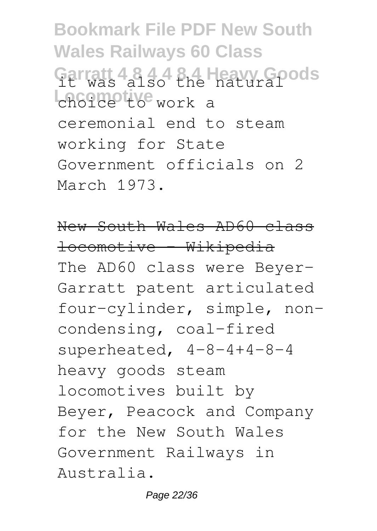**Bookmark File PDF New South Wales Railways 60 Class** Garratt 4 8 4 4 8 4 Heavy Goods choice to work a ceremonial end to steam working for State Government officials on 2 March 1973.

New South Wales AD60 class locomotive - Wikipedia The AD60 class were Beyer-Garratt patent articulated four-cylinder, simple, noncondensing, coal-fired superheated, 4-8-4+4-8-4 heavy goods steam locomotives built by Beyer, Peacock and Company for the New South Wales Government Railways in Australia.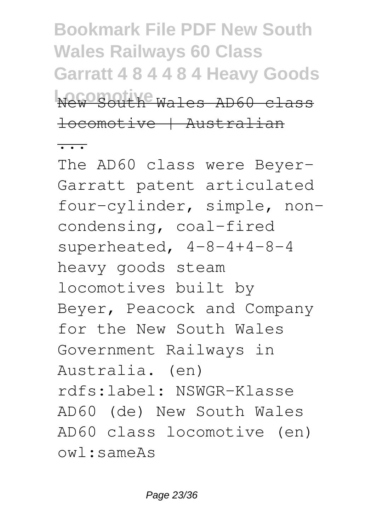**Bookmark File PDF New South Wales Railways 60 Class Garratt 4 8 4 4 8 4 Heavy Goods Locomotive** Wales AD60 class locomotive | Australian

...

The AD60 class were Beyer-Garratt patent articulated four-cylinder, simple, noncondensing, coal-fired superheated, 4-8-4+4-8-4 heavy goods steam locomotives built by Beyer, Peacock and Company for the New South Wales Government Railways in Australia. (en) rdfs:label: NSWGR-Klasse AD60 (de) New South Wales AD60 class locomotive (en) owl:sameAs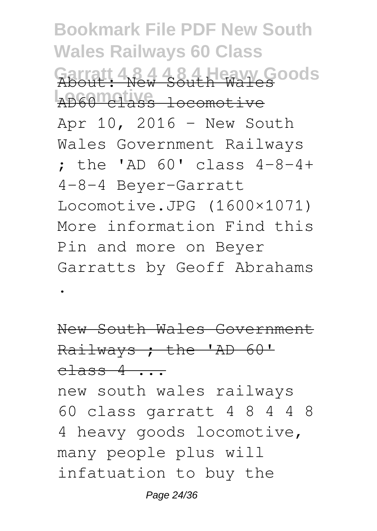**Bookmark File PDF New South Wales Railways 60 Class Garratt 4 8 4 4 8 4 Heavy Goods** About: New South Wales **Locomotive** AD60 class locomotive Apr 10, 2016 - New South Wales Government Railways ; the 'AD 60' class 4-8-4+ 4-8-4 Beyer-Garratt Locomotive.JPG (1600×1071) More information Find this Pin and more on Beyer Garratts by Geoff Abrahams

New South Wales Government Railways ; the 'AD 60'  $class 4 \ldots$ 

.

new south wales railways 60 class garratt 4 8 4 4 8 4 heavy goods locomotive, many people plus will infatuation to buy the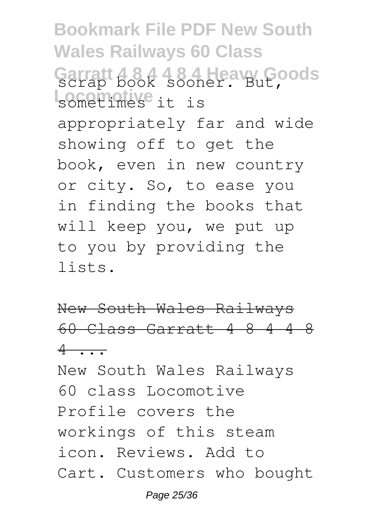**Bookmark File PDF New South Wales Railways 60 Class Garratt 4 8 4 4 8 4 Heavy Goods** scrap book sooner. But, **Locomotive** sometimes it is appropriately far and wide showing off to get the book, even in new country or city. So, to ease you in finding the books that will keep you, we put up to you by providing the lists.

New South Wales Railways 60 Class Garratt 4 8 4 4 8  $4 \cdot \cdot \cdot$ 

New South Wales Railways 60 class Locomotive Profile covers the workings of this steam icon. Reviews. Add to Cart. Customers who bought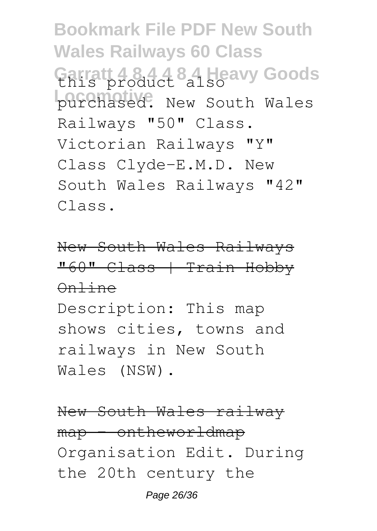**Bookmark File PDF New South Wales Railways 60 Class Garratt 4 8 4 4 8 4 Heavy Goods** this product also purchased. New South Wales Railways "50" Class. Victorian Railways "Y" Class Clyde-E.M.D. New South Wales Railways "42" Class.

New South Wales Railways "60" Class | Train Hobby Online

Description: This map shows cities, towns and railways in New South Wales (NSW).

New South Wales railway map - ontheworldmap Organisation Edit. During the 20th century the

Page 26/36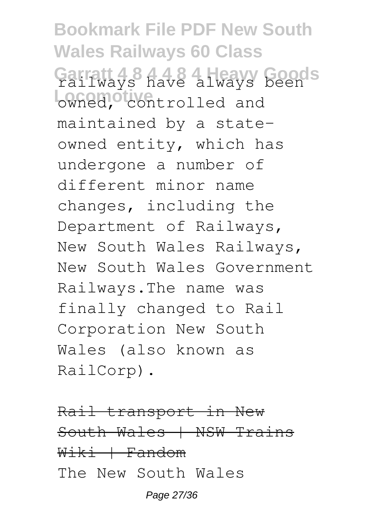**Bookmark File PDF New South Wales Railways 60 Class Garratt 4 8 4 4 8 4 Heavy Goods** railways have always been owned, controlled and maintained by a stateowned entity, which has undergone a number of different minor name changes, including the Department of Railways, New South Wales Railways, New South Wales Government Railways.The name was finally changed to Rail Corporation New South Wales (also known as RailCorp).

Rail transport in New South Wales | NSW Trains Wiki | Fandom The New South Wales

Page 27/36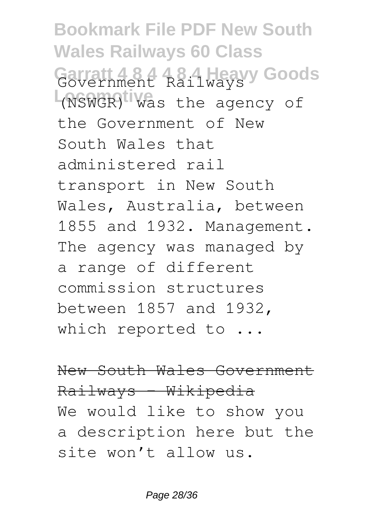**Bookmark File PDF New South Wales Railways 60 Class Garratt 4 8 4 4 8 4 Heavy Goods** Government Railways (NSWGR) was the agency of the Government of New South Wales that administered rail transport in New South Wales, Australia, between 1855 and 1932. Management. The agency was managed by a range of different commission structures between 1857 and 1932, which reported to ...

New South Wales Government Railways - Wikipedia We would like to show you a description here but the site won't allow us.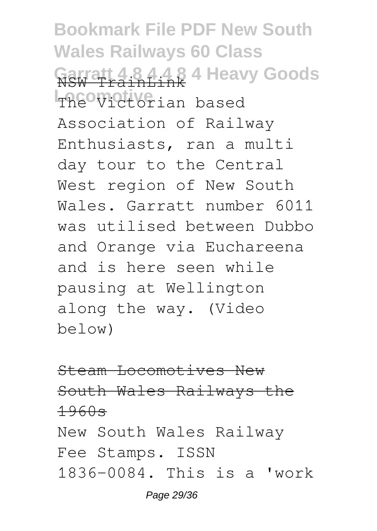**Bookmark File PDF New South Wales Railways 60 Class Garratt 4 8 4 4 8 4 Heavy Goods** NSW TrainLink The Victorian based Association of Railway Enthusiasts, ran a multi day tour to the Central West region of New South Wales. Garratt number 6011 was utilised between Dubbo and Orange via Euchareena and is here seen while pausing at Wellington along the way. (Video below)

Steam Locomotives New South Wales Railways the 1960s New South Wales Railway Fee Stamps. ISSN 1836-0084. This is a 'work Page 29/36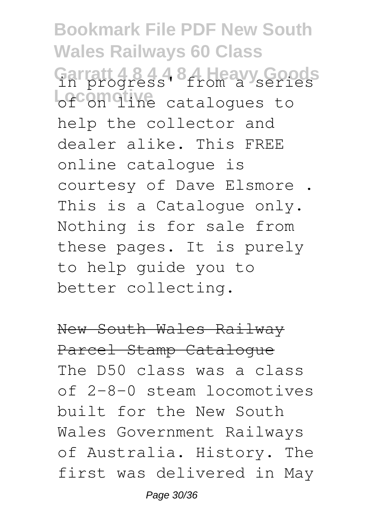**Bookmark File PDF New South Wales Railways 60 Class** Garratt 484484 Heavy Goods **Lecomotive** catalogues to help the collector and dealer alike. This FREE online catalogue is courtesy of Dave Elsmore . This is a Catalogue only. Nothing is for sale from these pages. It is purely to help guide you to better collecting.

New South Wales Railway Parcel Stamp Catalogue The D50 class was a class of 2-8-0 steam locomotives built for the New South Wales Government Railways of Australia. History. The first was delivered in May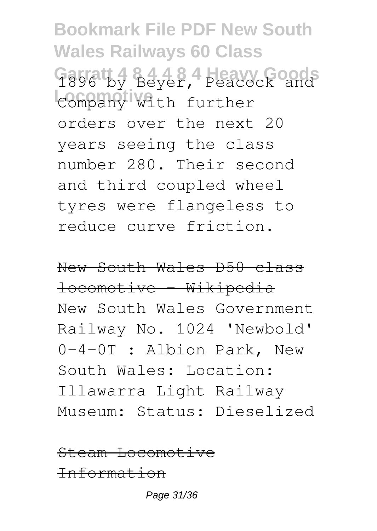**Bookmark File PDF New South Wales Railways 60 Class Garratt 4 8 4 4 8 4 Heavy Goods** 1896 by Beyer, Peacock and **Locomotive** Company with further orders over the next 20 years seeing the class number 280. Their second and third coupled wheel tyres were flangeless to reduce curve friction.

New South Wales D50 class locomotive - Wikipedia New South Wales Government Railway No. 1024 'Newbold' 0-4-0T : Albion Park, New South Wales: Location: Illawarra Light Railway Museum: Status: Dieselized

Steam Locomotive Information

Page 31/36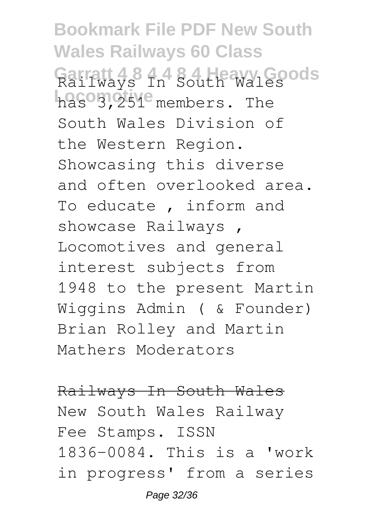**Bookmark File PDF New South Wales Railways 60 Class Garratt 4 8 4 4 8 4 Heavy Goods** Railways In South Wales has<sup>o</sup>3,251<sup>e</sup> members. The South Wales Division of the Western Region. Showcasing this diverse and often overlooked area. To educate , inform and showcase Railways , Locomotives and general interest subjects from 1948 to the present Martin Wiggins Admin ( & Founder) Brian Rolley and Martin Mathers Moderators

Railways In South Wales New South Wales Railway Fee Stamps. ISSN 1836-0084. This is a 'work in progress' from a series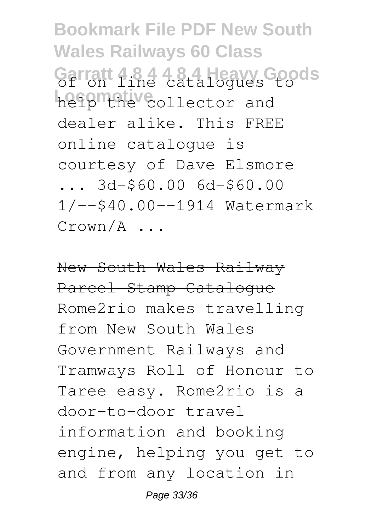**Bookmark File PDF New South Wales Railways 60 Class** Garratt 4.8.4 4.8.4 Heavy Goods help"the collector and dealer alike. This FREE online catalogue is courtesy of Dave Elsmore ... 3d-\$60.00 6d-\$60.00 1/--\$40.00--1914 Watermark Crown/A ...

New South Wales Railway Parcel Stamp Catalogue Rome2rio makes travelling from New South Wales Government Railways and Tramways Roll of Honour to Taree easy. Rome2rio is a door-to-door travel information and booking engine, helping you get to and from any location in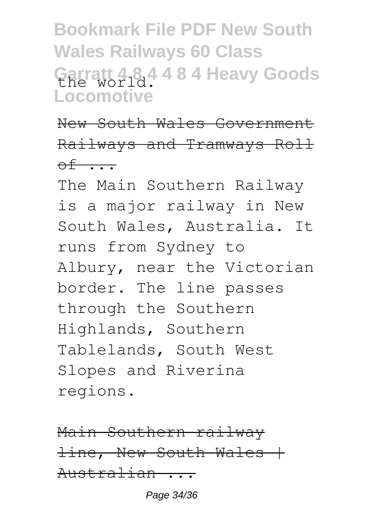**Bookmark File PDF New South Wales Railways 60 Class Garratt 4 8 4 4 8 4 Heavy Goods** the world. **Locomotive**

New South Wales Government Railways and Tramways Roll  $\theta$ f ...

The Main Southern Railway is a major railway in New South Wales, Australia. It runs from Sydney to Albury, near the Victorian border. The line passes through the Southern Highlands, Southern Tablelands, South West Slopes and Riverina regions.

Main Southern railway  $line,$  New South Wales  $+$ Australian ...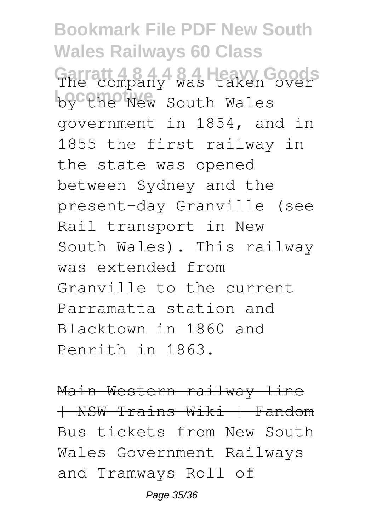**Bookmark File PDF New South Wales Railways 60 Class Garratt 4 8 4 4 8 4 Heavy Goods** The company was taken over by the New South Wales government in 1854, and in 1855 the first railway in the state was opened between Sydney and the present-day Granville (see Rail transport in New South Wales). This railway was extended from Granville to the current Parramatta station and Blacktown in 1860 and Penrith in 1863.

Main Western railway line | NSW Trains Wiki | Fandom Bus tickets from New South Wales Government Railways and Tramways Roll of